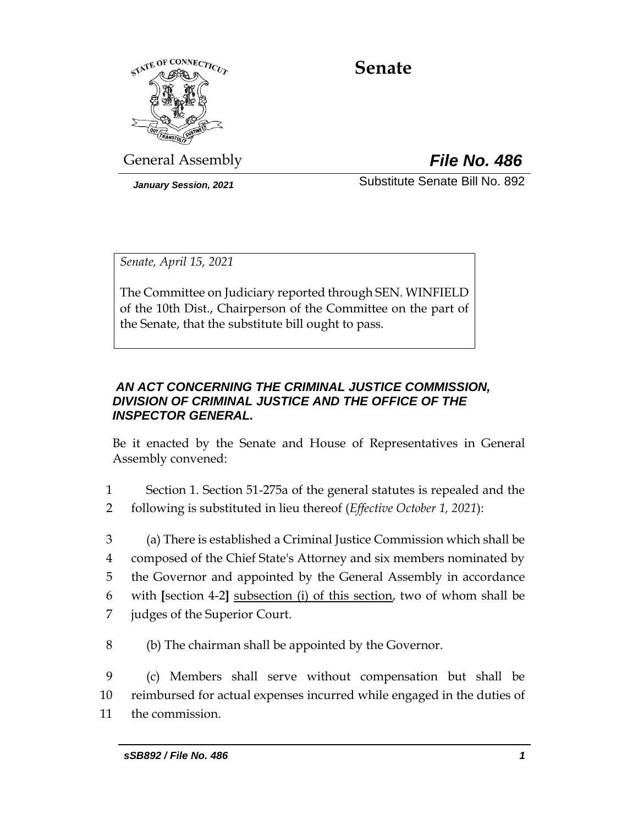

# **Senate**

General Assembly *File No. 486*

*January Session, 2021* Substitute Senate Bill No. 892

*Senate, April 15, 2021*

The Committee on Judiciary reported through SEN. WINFIELD of the 10th Dist., Chairperson of the Committee on the part of the Senate, that the substitute bill ought to pass.

# *AN ACT CONCERNING THE CRIMINAL JUSTICE COMMISSION, DIVISION OF CRIMINAL JUSTICE AND THE OFFICE OF THE INSPECTOR GENERAL.*

Be it enacted by the Senate and House of Representatives in General Assembly convened:

- 1 Section 1. Section 51-275a of the general statutes is repealed and the
- 2 following is substituted in lieu thereof (*Effective October 1, 2021*):
- 3 (a) There is established a Criminal Justice Commission which shall be 4 composed of the Chief State's Attorney and six members nominated by 5 the Governor and appointed by the General Assembly in accordance 6 with **[**section 4-2**]** subsection (i) of this section, two of whom shall be
- 7 judges of the Superior Court.
- 8 (b) The chairman shall be appointed by the Governor.

9 (c) Members shall serve without compensation but shall be 10 reimbursed for actual expenses incurred while engaged in the duties of 11 the commission.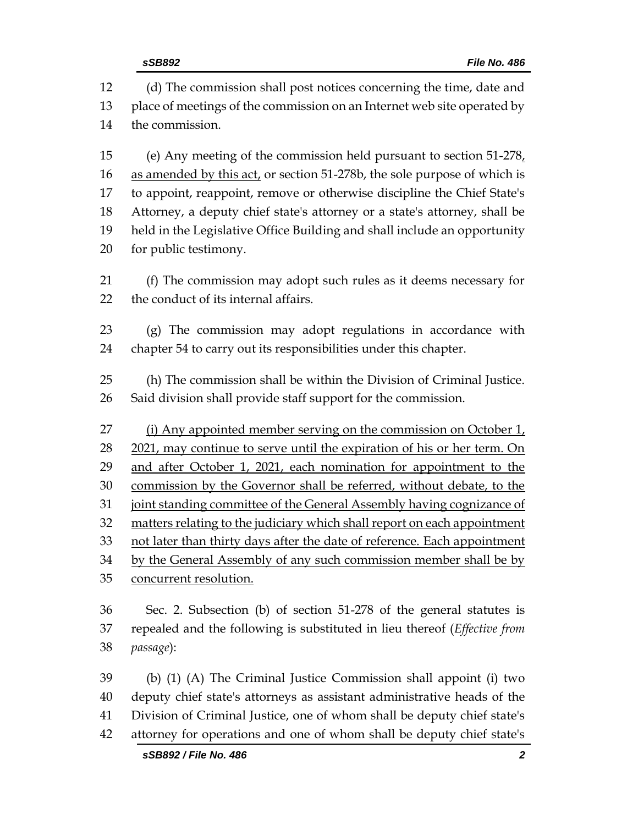| 12 | (d) The commission shall post notices concerning the time, date and               |  |  |
|----|-----------------------------------------------------------------------------------|--|--|
| 13 | place of meetings of the commission on an Internet web site operated by           |  |  |
| 14 | the commission.                                                                   |  |  |
| 15 | (e) Any meeting of the commission held pursuant to section $51-278$ .             |  |  |
| 16 | as amended by this act, or section 51-278b, the sole purpose of which is          |  |  |
| 17 | to appoint, reappoint, remove or otherwise discipline the Chief State's           |  |  |
| 18 | Attorney, a deputy chief state's attorney or a state's attorney, shall be         |  |  |
| 19 | held in the Legislative Office Building and shall include an opportunity          |  |  |
| 20 | for public testimony.                                                             |  |  |
| 21 | (f) The commission may adopt such rules as it deems necessary for                 |  |  |
| 22 | the conduct of its internal affairs.                                              |  |  |
| 23 | (g) The commission may adopt regulations in accordance with                       |  |  |
| 24 | chapter 54 to carry out its responsibilities under this chapter.                  |  |  |
| 25 | (h) The commission shall be within the Division of Criminal Justice.              |  |  |
| 26 | Said division shall provide staff support for the commission.                     |  |  |
| 27 | (i) Any appointed member serving on the commission on October 1,                  |  |  |
| 28 | 2021, may continue to serve until the expiration of his or her term. On           |  |  |
| 29 | and after October 1, 2021, each nomination for appointment to the                 |  |  |
| 30 | commission by the Governor shall be referred, without debate, to the              |  |  |
| 31 | joint standing committee of the General Assembly having cognizance of             |  |  |
| 32 | matters relating to the judiciary which shall report on each appointment          |  |  |
| 33 | not later than thirty days after the date of reference. Each appointment          |  |  |
| 34 | by the General Assembly of any such commission member shall be by                 |  |  |
| 35 | concurrent resolution.                                                            |  |  |
| 36 | Sec. 2. Subsection (b) of section 51-278 of the general statutes is               |  |  |
| 37 | repealed and the following is substituted in lieu thereof ( <i>Effective from</i> |  |  |
| 38 | passage):                                                                         |  |  |
| 39 | (b) (1) (A) The Criminal Justice Commission shall appoint (i) two                 |  |  |
| 40 | deputy chief state's attorneys as assistant administrative heads of the           |  |  |
| 41 | Division of Criminal Justice, one of whom shall be deputy chief state's           |  |  |
| 42 | attorney for operations and one of whom shall be deputy chief state's             |  |  |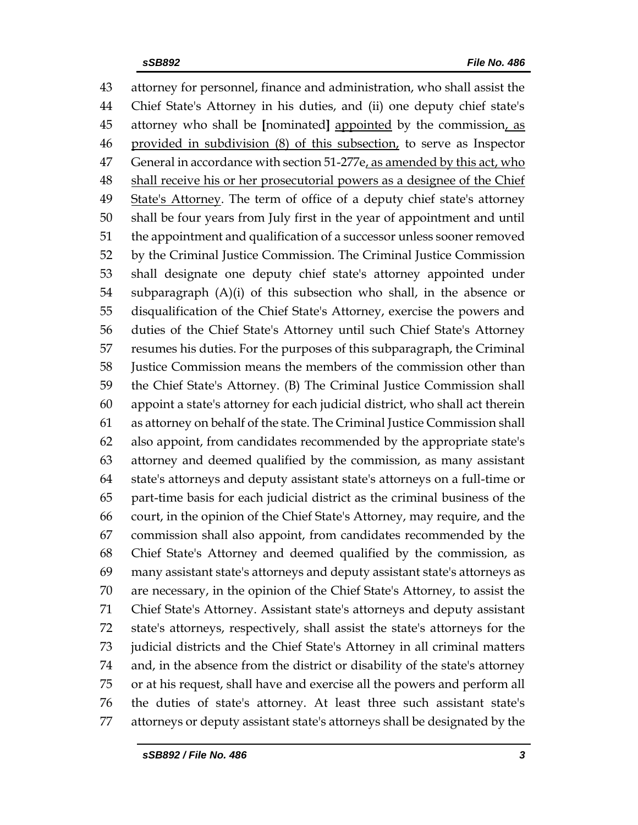attorney for personnel, finance and administration, who shall assist the Chief State's Attorney in his duties, and (ii) one deputy chief state's attorney who shall be **[**nominated**]** appointed by the commission, as provided in subdivision (8) of this subsection, to serve as Inspector 47 General in accordance with section 51-277e<sub>, as amended by this act, who</sub> 48 shall receive his or her prosecutorial powers as a designee of the Chief 49 State's Attorney. The term of office of a deputy chief state's attorney shall be four years from July first in the year of appointment and until the appointment and qualification of a successor unless sooner removed by the Criminal Justice Commission. The Criminal Justice Commission shall designate one deputy chief state's attorney appointed under subparagraph (A)(i) of this subsection who shall, in the absence or disqualification of the Chief State's Attorney, exercise the powers and duties of the Chief State's Attorney until such Chief State's Attorney resumes his duties. For the purposes of this subparagraph, the Criminal Justice Commission means the members of the commission other than the Chief State's Attorney. (B) The Criminal Justice Commission shall appoint a state's attorney for each judicial district, who shall act therein as attorney on behalf of the state. The Criminal Justice Commission shall also appoint, from candidates recommended by the appropriate state's attorney and deemed qualified by the commission, as many assistant state's attorneys and deputy assistant state's attorneys on a full-time or part-time basis for each judicial district as the criminal business of the court, in the opinion of the Chief State's Attorney, may require, and the commission shall also appoint, from candidates recommended by the Chief State's Attorney and deemed qualified by the commission, as many assistant state's attorneys and deputy assistant state's attorneys as are necessary, in the opinion of the Chief State's Attorney, to assist the Chief State's Attorney. Assistant state's attorneys and deputy assistant state's attorneys, respectively, shall assist the state's attorneys for the judicial districts and the Chief State's Attorney in all criminal matters and, in the absence from the district or disability of the state's attorney or at his request, shall have and exercise all the powers and perform all the duties of state's attorney. At least three such assistant state's attorneys or deputy assistant state's attorneys shall be designated by the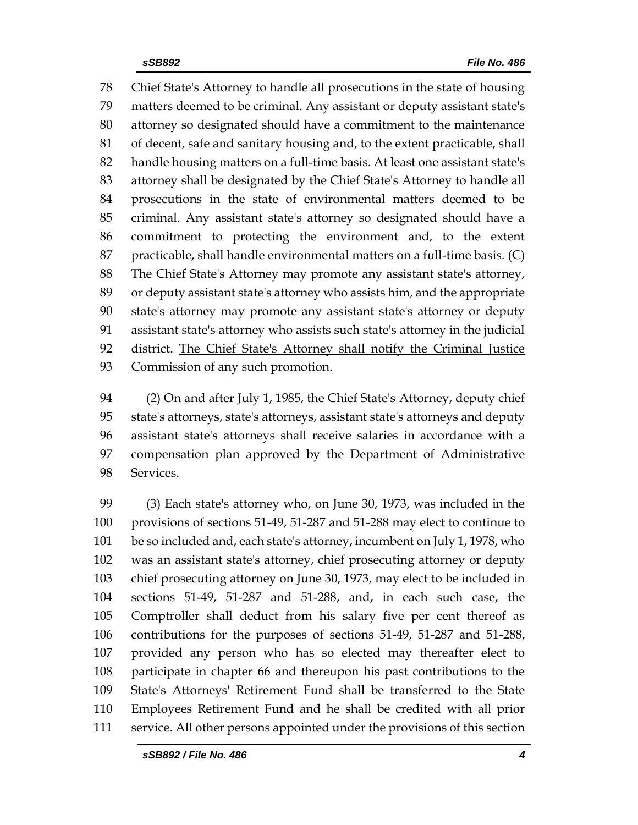Chief State's Attorney to handle all prosecutions in the state of housing matters deemed to be criminal. Any assistant or deputy assistant state's attorney so designated should have a commitment to the maintenance of decent, safe and sanitary housing and, to the extent practicable, shall handle housing matters on a full-time basis. At least one assistant state's attorney shall be designated by the Chief State's Attorney to handle all prosecutions in the state of environmental matters deemed to be criminal. Any assistant state's attorney so designated should have a commitment to protecting the environment and, to the extent practicable, shall handle environmental matters on a full-time basis. (C) The Chief State's Attorney may promote any assistant state's attorney, or deputy assistant state's attorney who assists him, and the appropriate state's attorney may promote any assistant state's attorney or deputy assistant state's attorney who assists such state's attorney in the judicial district. The Chief State's Attorney shall notify the Criminal Justice Commission of any such promotion.

 (2) On and after July 1, 1985, the Chief State's Attorney, deputy chief state's attorneys, state's attorneys, assistant state's attorneys and deputy assistant state's attorneys shall receive salaries in accordance with a compensation plan approved by the Department of Administrative Services.

 (3) Each state's attorney who, on June 30, 1973, was included in the provisions of sections 51-49, 51-287 and 51-288 may elect to continue to be so included and, each state's attorney, incumbent on July 1, 1978, who was an assistant state's attorney, chief prosecuting attorney or deputy chief prosecuting attorney on June 30, 1973, may elect to be included in sections 51-49, 51-287 and 51-288, and, in each such case, the Comptroller shall deduct from his salary five per cent thereof as contributions for the purposes of sections 51-49, 51-287 and 51-288, provided any person who has so elected may thereafter elect to participate in chapter 66 and thereupon his past contributions to the State's Attorneys' Retirement Fund shall be transferred to the State Employees Retirement Fund and he shall be credited with all prior service. All other persons appointed under the provisions of this section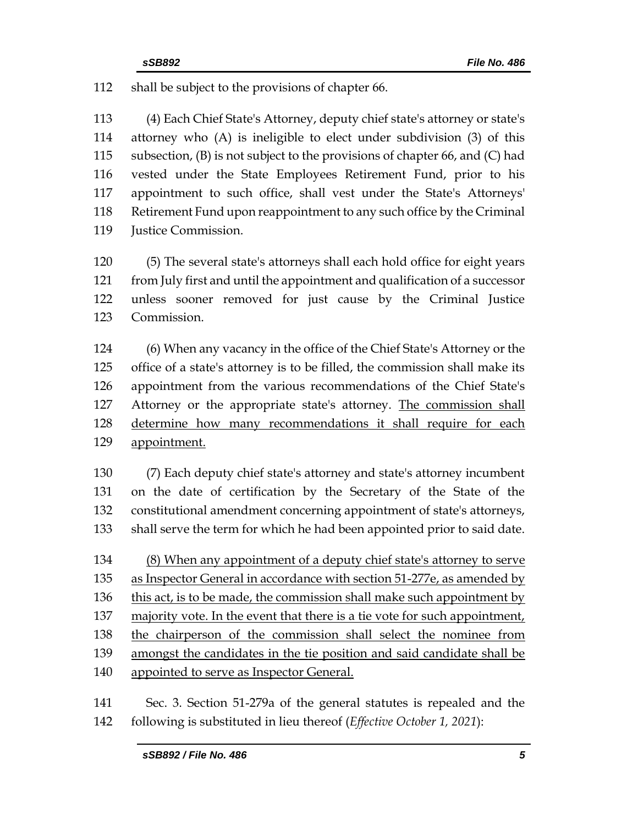shall be subject to the provisions of chapter 66.

 (4) Each Chief State's Attorney, deputy chief state's attorney or state's attorney who (A) is ineligible to elect under subdivision (3) of this subsection, (B) is not subject to the provisions of chapter 66, and (C) had vested under the State Employees Retirement Fund, prior to his appointment to such office, shall vest under the State's Attorneys' Retirement Fund upon reappointment to any such office by the Criminal **Justice Commission.** 

 (5) The several state's attorneys shall each hold office for eight years from July first and until the appointment and qualification of a successor unless sooner removed for just cause by the Criminal Justice Commission.

 (6) When any vacancy in the office of the Chief State's Attorney or the office of a state's attorney is to be filled, the commission shall make its appointment from the various recommendations of the Chief State's 127 Attorney or the appropriate state's attorney. The commission shall determine how many recommendations it shall require for each appointment.

 (7) Each deputy chief state's attorney and state's attorney incumbent on the date of certification by the Secretary of the State of the constitutional amendment concerning appointment of state's attorneys, shall serve the term for which he had been appointed prior to said date.

 (8) When any appointment of a deputy chief state's attorney to serve as Inspector General in accordance with section 51-277e, as amended by this act, is to be made, the commission shall make such appointment by 137 majority vote. In the event that there is a tie vote for such appointment, the chairperson of the commission shall select the nominee from amongst the candidates in the tie position and said candidate shall be appointed to serve as Inspector General.

 Sec. 3. Section 51-279a of the general statutes is repealed and the following is substituted in lieu thereof (*Effective October 1, 2021*):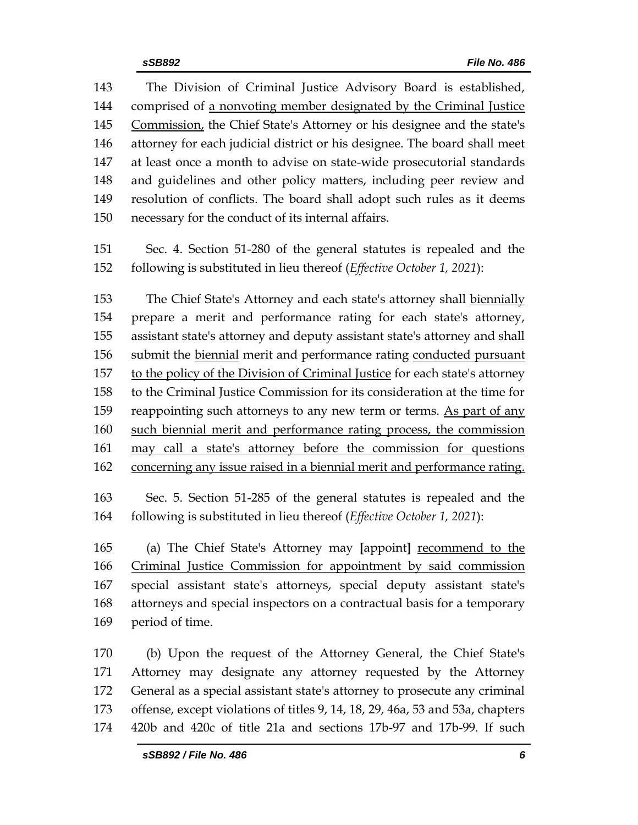The Division of Criminal Justice Advisory Board is established, comprised of a nonvoting member designated by the Criminal Justice Commission, the Chief State's Attorney or his designee and the state's attorney for each judicial district or his designee. The board shall meet at least once a month to advise on state-wide prosecutorial standards and guidelines and other policy matters, including peer review and resolution of conflicts. The board shall adopt such rules as it deems necessary for the conduct of its internal affairs.

 Sec. 4. Section 51-280 of the general statutes is repealed and the following is substituted in lieu thereof (*Effective October 1, 2021*):

 The Chief State's Attorney and each state's attorney shall biennially prepare a merit and performance rating for each state's attorney, assistant state's attorney and deputy assistant state's attorney and shall submit the biennial merit and performance rating conducted pursuant to the policy of the Division of Criminal Justice for each state's attorney to the Criminal Justice Commission for its consideration at the time for 159 reappointing such attorneys to any new term or terms. As part of any such biennial merit and performance rating process, the commission may call a state's attorney before the commission for questions 162 concerning any issue raised in a biennial merit and performance rating.

 Sec. 5. Section 51-285 of the general statutes is repealed and the following is substituted in lieu thereof (*Effective October 1, 2021*):

 (a) The Chief State's Attorney may **[**appoint**]** recommend to the Criminal Justice Commission for appointment by said commission special assistant state's attorneys, special deputy assistant state's attorneys and special inspectors on a contractual basis for a temporary period of time.

 (b) Upon the request of the Attorney General, the Chief State's Attorney may designate any attorney requested by the Attorney General as a special assistant state's attorney to prosecute any criminal offense, except violations of titles 9, 14, 18, 29, 46a, 53 and 53a, chapters 420b and 420c of title 21a and sections 17b-97 and 17b-99. If such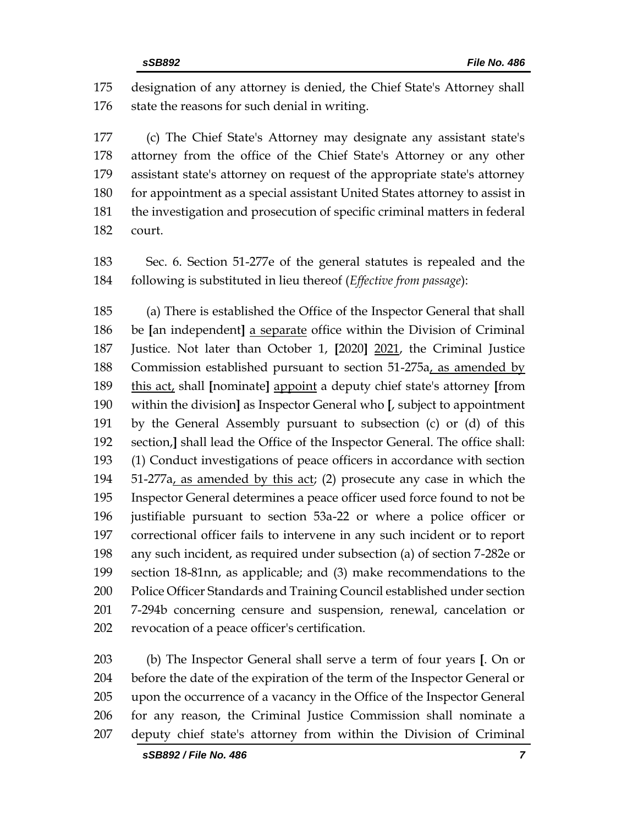designation of any attorney is denied, the Chief State's Attorney shall 176 state the reasons for such denial in writing.

 (c) The Chief State's Attorney may designate any assistant state's attorney from the office of the Chief State's Attorney or any other assistant state's attorney on request of the appropriate state's attorney for appointment as a special assistant United States attorney to assist in the investigation and prosecution of specific criminal matters in federal court.

 Sec. 6. Section 51-277e of the general statutes is repealed and the following is substituted in lieu thereof (*Effective from passage*):

 (a) There is established the Office of the Inspector General that shall be **[**an independent**]** a separate office within the Division of Criminal Justice. Not later than October 1, **[**2020**]** 2021, the Criminal Justice Commission established pursuant to section 51-275a, as amended by this act, shall **[**nominate**]** appoint a deputy chief state's attorney **[**from within the division**]** as Inspector General who **[**, subject to appointment by the General Assembly pursuant to subsection (c) or (d) of this section,**]** shall lead the Office of the Inspector General. The office shall: (1) Conduct investigations of peace officers in accordance with section 51-277a, as amended by this act; (2) prosecute any case in which the Inspector General determines a peace officer used force found to not be justifiable pursuant to section 53a-22 or where a police officer or correctional officer fails to intervene in any such incident or to report any such incident, as required under subsection (a) of section 7-282e or section 18-81nn, as applicable; and (3) make recommendations to the Police Officer Standards and Training Council established under section 7-294b concerning censure and suspension, renewal, cancelation or revocation of a peace officer's certification.

 (b) The Inspector General shall serve a term of four years **[**. On or before the date of the expiration of the term of the Inspector General or upon the occurrence of a vacancy in the Office of the Inspector General for any reason, the Criminal Justice Commission shall nominate a deputy chief state's attorney from within the Division of Criminal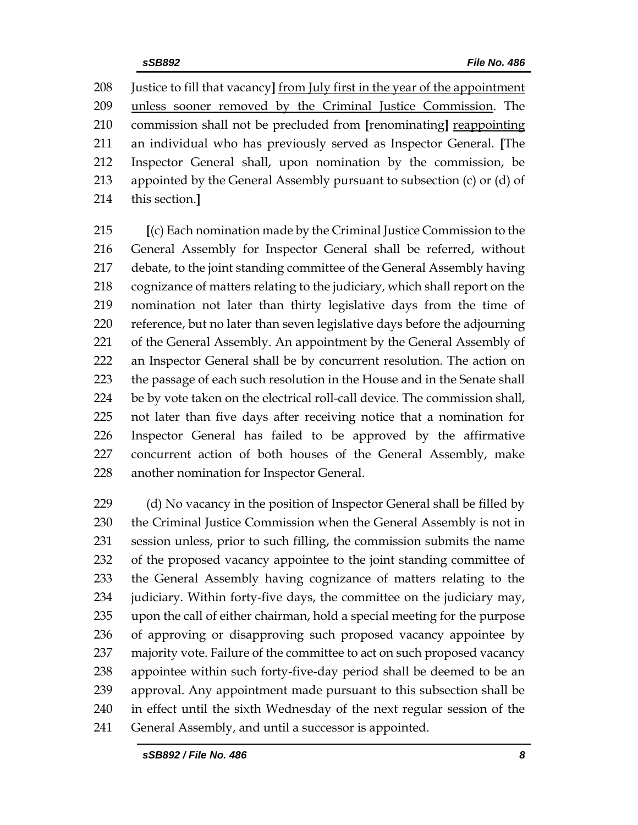Justice to fill that vacancy**]** from July first in the year of the appointment unless sooner removed by the Criminal Justice Commission. The commission shall not be precluded from **[**renominating**]** reappointing an individual who has previously served as Inspector General. **[**The Inspector General shall, upon nomination by the commission, be appointed by the General Assembly pursuant to subsection (c) or (d) of this section.**]**

 **[**(c) Each nomination made by the Criminal Justice Commission to the General Assembly for Inspector General shall be referred, without debate, to the joint standing committee of the General Assembly having cognizance of matters relating to the judiciary, which shall report on the nomination not later than thirty legislative days from the time of reference, but no later than seven legislative days before the adjourning of the General Assembly. An appointment by the General Assembly of an Inspector General shall be by concurrent resolution. The action on the passage of each such resolution in the House and in the Senate shall be by vote taken on the electrical roll-call device. The commission shall, not later than five days after receiving notice that a nomination for Inspector General has failed to be approved by the affirmative concurrent action of both houses of the General Assembly, make another nomination for Inspector General.

229 (d) No vacancy in the position of Inspector General shall be filled by 230 the Criminal Justice Commission when the General Assembly is not in session unless, prior to such filling, the commission submits the name of the proposed vacancy appointee to the joint standing committee of the General Assembly having cognizance of matters relating to the judiciary. Within forty-five days, the committee on the judiciary may, upon the call of either chairman, hold a special meeting for the purpose of approving or disapproving such proposed vacancy appointee by 237 majority vote. Failure of the committee to act on such proposed vacancy appointee within such forty-five-day period shall be deemed to be an approval. Any appointment made pursuant to this subsection shall be in effect until the sixth Wednesday of the next regular session of the General Assembly, and until a successor is appointed.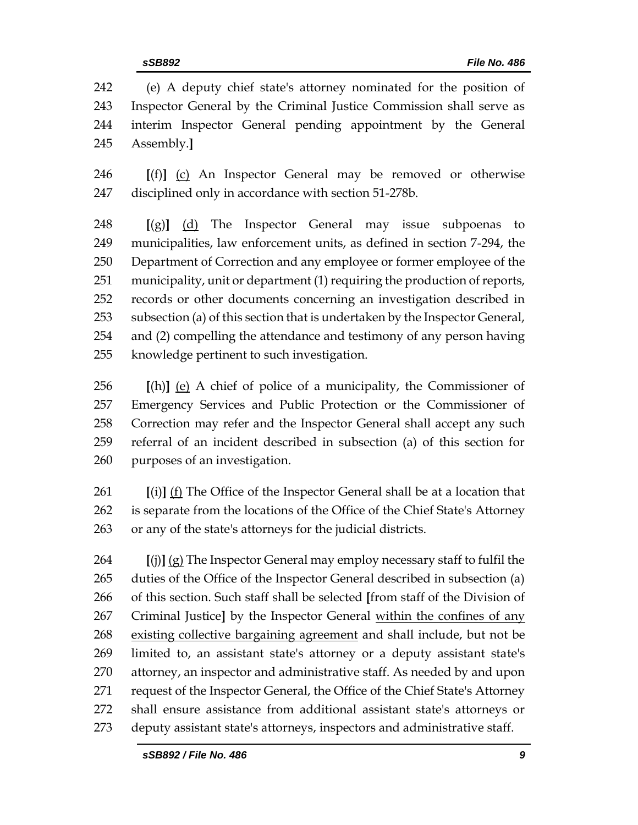(e) A deputy chief state's attorney nominated for the position of Inspector General by the Criminal Justice Commission shall serve as interim Inspector General pending appointment by the General Assembly.**]**

 **[**(f)**]** (c) An Inspector General may be removed or otherwise disciplined only in accordance with section 51-278b.

 **[**(g)**]** (d) The Inspector General may issue subpoenas to municipalities, law enforcement units, as defined in section 7-294, the Department of Correction and any employee or former employee of the municipality, unit or department (1) requiring the production of reports, records or other documents concerning an investigation described in subsection (a) of this section that is undertaken by the Inspector General, and (2) compelling the attendance and testimony of any person having knowledge pertinent to such investigation.

 **[**(h)**]** (e) A chief of police of a municipality, the Commissioner of Emergency Services and Public Protection or the Commissioner of Correction may refer and the Inspector General shall accept any such referral of an incident described in subsection (a) of this section for purposes of an investigation.

 **[**(i)**]** (f) The Office of the Inspector General shall be at a location that is separate from the locations of the Office of the Chief State's Attorney or any of the state's attorneys for the judicial districts.

 **[**(j)**]** (g) The Inspector General may employ necessary staff to fulfil the duties of the Office of the Inspector General described in subsection (a) of this section. Such staff shall be selected **[**from staff of the Division of Criminal Justice**]** by the Inspector General within the confines of any existing collective bargaining agreement and shall include, but not be limited to, an assistant state's attorney or a deputy assistant state's attorney, an inspector and administrative staff. As needed by and upon request of the Inspector General, the Office of the Chief State's Attorney shall ensure assistance from additional assistant state's attorneys or deputy assistant state's attorneys, inspectors and administrative staff.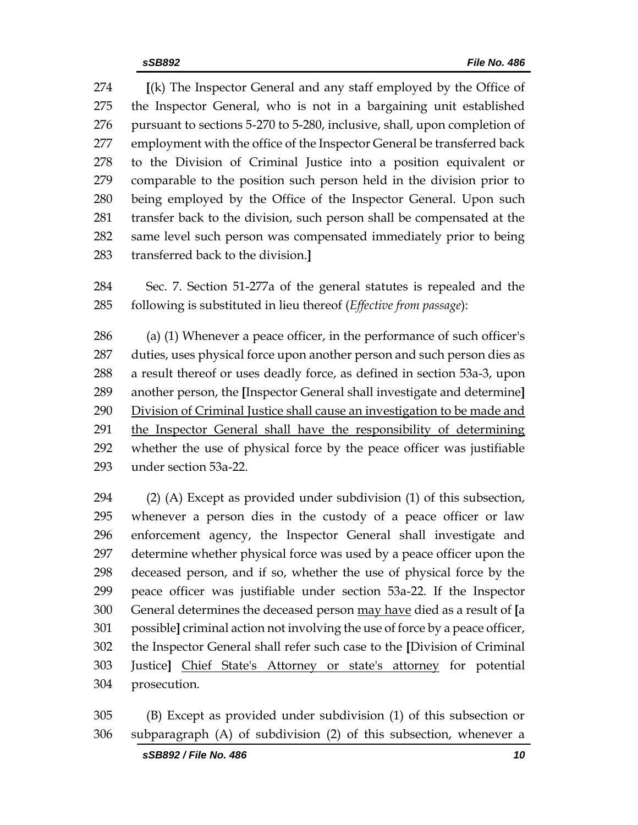**[**(k) The Inspector General and any staff employed by the Office of the Inspector General, who is not in a bargaining unit established pursuant to sections 5-270 to 5-280, inclusive, shall, upon completion of 277 employment with the office of the Inspector General be transferred back to the Division of Criminal Justice into a position equivalent or comparable to the position such person held in the division prior to being employed by the Office of the Inspector General. Upon such transfer back to the division, such person shall be compensated at the same level such person was compensated immediately prior to being transferred back to the division.**]**

 Sec. 7. Section 51-277a of the general statutes is repealed and the following is substituted in lieu thereof (*Effective from passage*):

 (a) (1) Whenever a peace officer, in the performance of such officer's duties, uses physical force upon another person and such person dies as a result thereof or uses deadly force, as defined in section 53a-3, upon another person, the **[**Inspector General shall investigate and determine**]** Division of Criminal Justice shall cause an investigation to be made and the Inspector General shall have the responsibility of determining whether the use of physical force by the peace officer was justifiable under section 53a-22.

 (2) (A) Except as provided under subdivision (1) of this subsection, whenever a person dies in the custody of a peace officer or law enforcement agency, the Inspector General shall investigate and determine whether physical force was used by a peace officer upon the deceased person, and if so, whether the use of physical force by the peace officer was justifiable under section 53a-22. If the Inspector General determines the deceased person may have died as a result of **[**a possible**]** criminal action not involving the use of force by a peace officer, the Inspector General shall refer such case to the **[**Division of Criminal Justice**]** Chief State's Attorney or state's attorney for potential prosecution.

 (B) Except as provided under subdivision (1) of this subsection or subparagraph (A) of subdivision (2) of this subsection, whenever a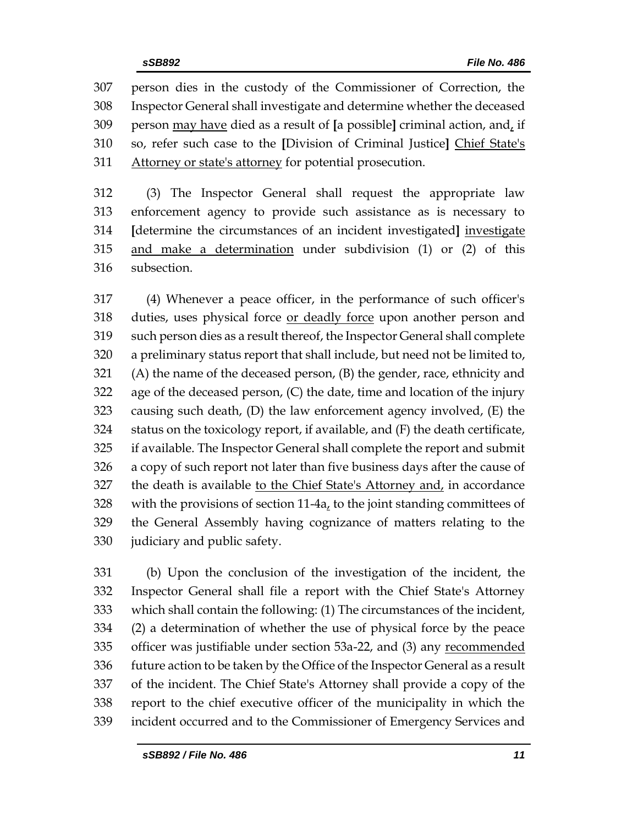person dies in the custody of the Commissioner of Correction, the Inspector General shall investigate and determine whether the deceased person may have died as a result of **[**a possible**]** criminal action, and, if so, refer such case to the **[**Division of Criminal Justice**]** Chief State's 311 Attorney or state's attorney for potential prosecution.

 (3) The Inspector General shall request the appropriate law enforcement agency to provide such assistance as is necessary to **[**determine the circumstances of an incident investigated**]** investigate and make a determination under subdivision (1) or (2) of this subsection.

 (4) Whenever a peace officer, in the performance of such officer's duties, uses physical force or deadly force upon another person and such person dies as a result thereof, the Inspector General shall complete a preliminary status report that shall include, but need not be limited to, (A) the name of the deceased person, (B) the gender, race, ethnicity and age of the deceased person, (C) the date, time and location of the injury causing such death, (D) the law enforcement agency involved, (E) the status on the toxicology report, if available, and (F) the death certificate, if available. The Inspector General shall complete the report and submit a copy of such report not later than five business days after the cause of 327 the death is available to the Chief State's Attorney and, in accordance with the provisions of section 11-4a, to the joint standing committees of the General Assembly having cognizance of matters relating to the judiciary and public safety.

 (b) Upon the conclusion of the investigation of the incident, the Inspector General shall file a report with the Chief State's Attorney which shall contain the following: (1) The circumstances of the incident, (2) a determination of whether the use of physical force by the peace 335 officer was justifiable under section 53a-22, and (3) any recommended future action to be taken by the Office of the Inspector General as a result of the incident. The Chief State's Attorney shall provide a copy of the report to the chief executive officer of the municipality in which the incident occurred and to the Commissioner of Emergency Services and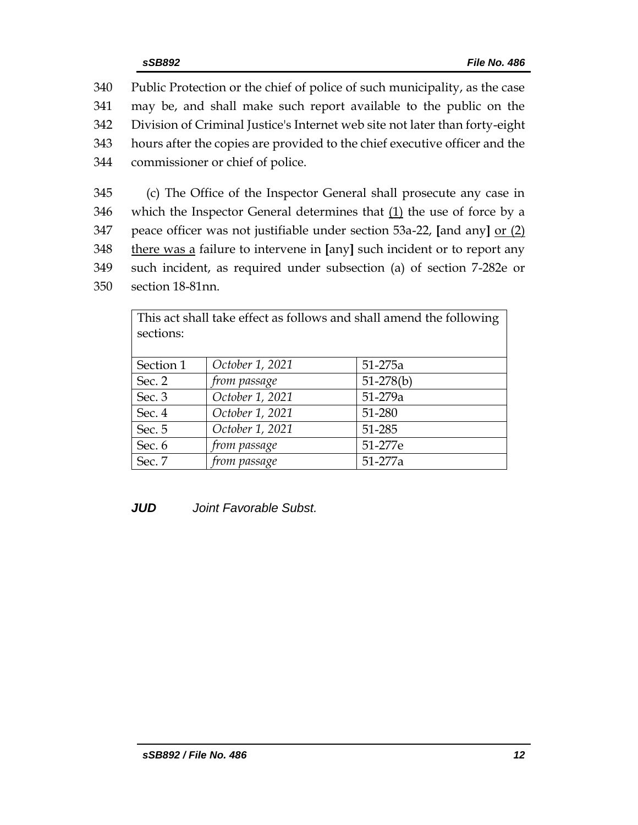Public Protection or the chief of police of such municipality, as the case may be, and shall make such report available to the public on the Division of Criminal Justice's Internet web site not later than forty-eight hours after the copies are provided to the chief executive officer and the commissioner or chief of police.

 (c) The Office of the Inspector General shall prosecute any case in which the Inspector General determines that (1) the use of force by a peace officer was not justifiable under section 53a-22, **[**and any**]** or (2) there was a failure to intervene in **[**any**]** such incident or to report any such incident, as required under subsection (a) of section 7-282e or section 18-81nn.

| This act shall take effect as follows and shall amend the following |                 |             |  |
|---------------------------------------------------------------------|-----------------|-------------|--|
| sections:                                                           |                 |             |  |
|                                                                     |                 |             |  |
| Section 1                                                           | October 1, 2021 | 51-275a     |  |
| Sec. 2                                                              | from passage    | $51-278(b)$ |  |
| Sec. 3                                                              | October 1, 2021 | $51 - 279a$ |  |
| Sec. 4                                                              | October 1, 2021 | 51-280      |  |
| Sec. 5                                                              | October 1, 2021 | 51-285      |  |
| Sec. 6                                                              | from passage    | 51-277e     |  |
| Sec. 7                                                              | from passage    | 51-277a     |  |

*JUD Joint Favorable Subst.*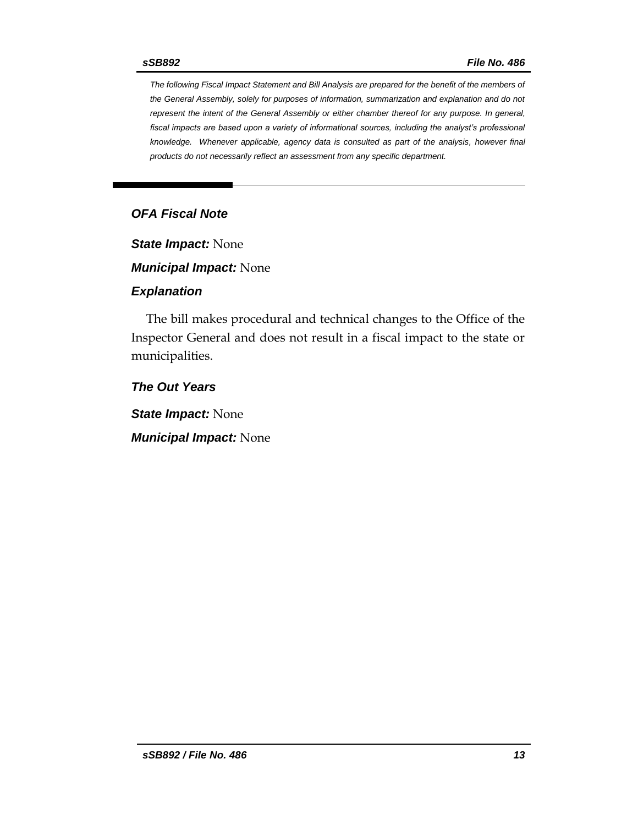*The following Fiscal Impact Statement and Bill Analysis are prepared for the benefit of the members of the General Assembly, solely for purposes of information, summarization and explanation and do not represent the intent of the General Assembly or either chamber thereof for any purpose. In general, fiscal impacts are based upon a variety of informational sources, including the analyst's professional knowledge. Whenever applicable, agency data is consulted as part of the analysis, however final products do not necessarily reflect an assessment from any specific department.*

# *OFA Fiscal Note*

*State Impact:* None

*Municipal Impact:* None

#### *Explanation*

The bill makes procedural and technical changes to the Office of the Inspector General and does not result in a fiscal impact to the state or municipalities.

*The Out Years*

*State Impact:* None

*Municipal Impact:* None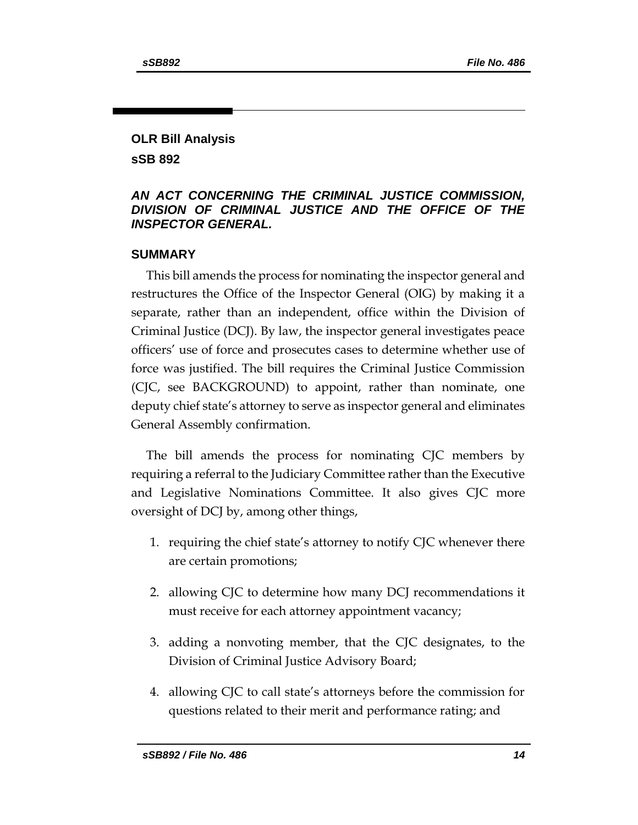# **OLR Bill Analysis sSB 892**

# *AN ACT CONCERNING THE CRIMINAL JUSTICE COMMISSION, DIVISION OF CRIMINAL JUSTICE AND THE OFFICE OF THE INSPECTOR GENERAL.*

#### **SUMMARY**

This bill amends the process for nominating the inspector general and restructures the Office of the Inspector General (OIG) by making it a separate, rather than an independent, office within the Division of Criminal Justice (DCJ). By law, the inspector general investigates peace officers' use of force and prosecutes cases to determine whether use of force was justified. The bill requires the Criminal Justice Commission (CJC, see BACKGROUND) to appoint, rather than nominate, one deputy chief state's attorney to serve as inspector general and eliminates General Assembly confirmation.

The bill amends the process for nominating CJC members by requiring a referral to the Judiciary Committee rather than the Executive and Legislative Nominations Committee. It also gives CJC more oversight of DCJ by, among other things,

- 1. requiring the chief state's attorney to notify CJC whenever there are certain promotions;
- 2. allowing CJC to determine how many DCJ recommendations it must receive for each attorney appointment vacancy;
- 3. adding a nonvoting member, that the CJC designates, to the Division of Criminal Justice Advisory Board;
- 4. allowing CJC to call state's attorneys before the commission for questions related to their merit and performance rating; and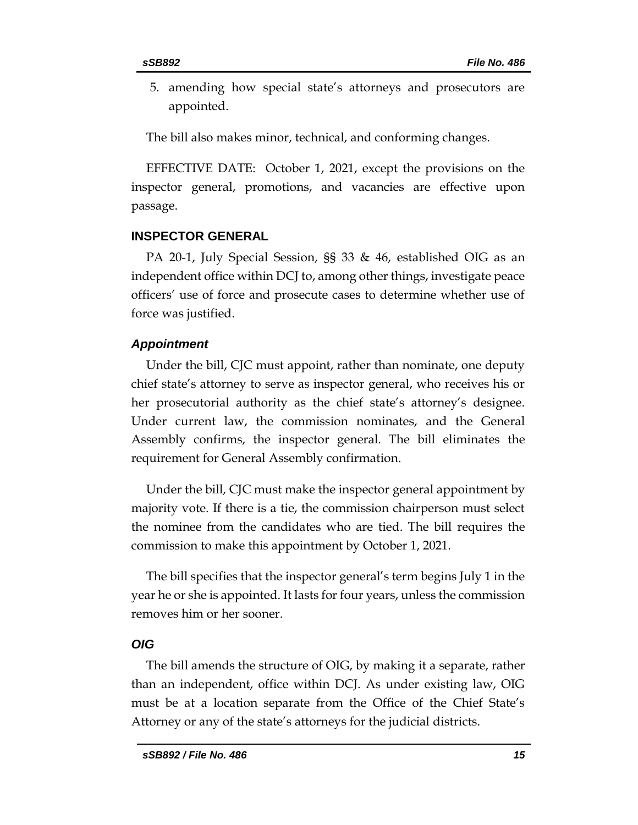5. amending how special state's attorneys and prosecutors are appointed.

The bill also makes minor, technical, and conforming changes.

EFFECTIVE DATE: October 1, 2021, except the provisions on the inspector general, promotions, and vacancies are effective upon passage.

# **INSPECTOR GENERAL**

PA 20-1, July Special Session, §§ 33 & 46, established OIG as an independent office within DCJ to, among other things, investigate peace officers' use of force and prosecute cases to determine whether use of force was justified.

# *Appointment*

Under the bill, CJC must appoint, rather than nominate, one deputy chief state's attorney to serve as inspector general, who receives his or her prosecutorial authority as the chief state's attorney's designee. Under current law, the commission nominates, and the General Assembly confirms, the inspector general. The bill eliminates the requirement for General Assembly confirmation.

Under the bill, CJC must make the inspector general appointment by majority vote. If there is a tie, the commission chairperson must select the nominee from the candidates who are tied. The bill requires the commission to make this appointment by October 1, 2021.

The bill specifies that the inspector general's term begins July 1 in the year he or she is appointed. It lasts for four years, unless the commission removes him or her sooner.

#### *OIG*

The bill amends the structure of OIG, by making it a separate, rather than an independent, office within DCJ. As under existing law, OIG must be at a location separate from the Office of the Chief State's Attorney or any of the state's attorneys for the judicial districts.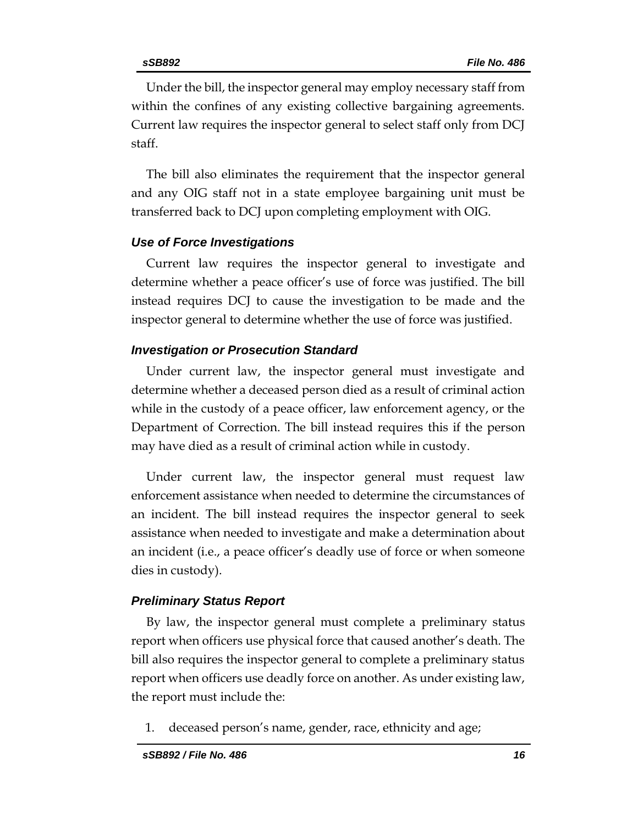Under the bill, the inspector general may employ necessary staff from within the confines of any existing collective bargaining agreements. Current law requires the inspector general to select staff only from DCJ staff.

The bill also eliminates the requirement that the inspector general and any OIG staff not in a state employee bargaining unit must be transferred back to DCJ upon completing employment with OIG.

### *Use of Force Investigations*

Current law requires the inspector general to investigate and determine whether a peace officer's use of force was justified. The bill instead requires DCJ to cause the investigation to be made and the inspector general to determine whether the use of force was justified.

#### *Investigation or Prosecution Standard*

Under current law, the inspector general must investigate and determine whether a deceased person died as a result of criminal action while in the custody of a peace officer, law enforcement agency, or the Department of Correction. The bill instead requires this if the person may have died as a result of criminal action while in custody.

Under current law, the inspector general must request law enforcement assistance when needed to determine the circumstances of an incident. The bill instead requires the inspector general to seek assistance when needed to investigate and make a determination about an incident (i.e., a peace officer's deadly use of force or when someone dies in custody).

#### *Preliminary Status Report*

By law, the inspector general must complete a preliminary status report when officers use physical force that caused another's death. The bill also requires the inspector general to complete a preliminary status report when officers use deadly force on another. As under existing law, the report must include the:

1. deceased person's name, gender, race, ethnicity and age;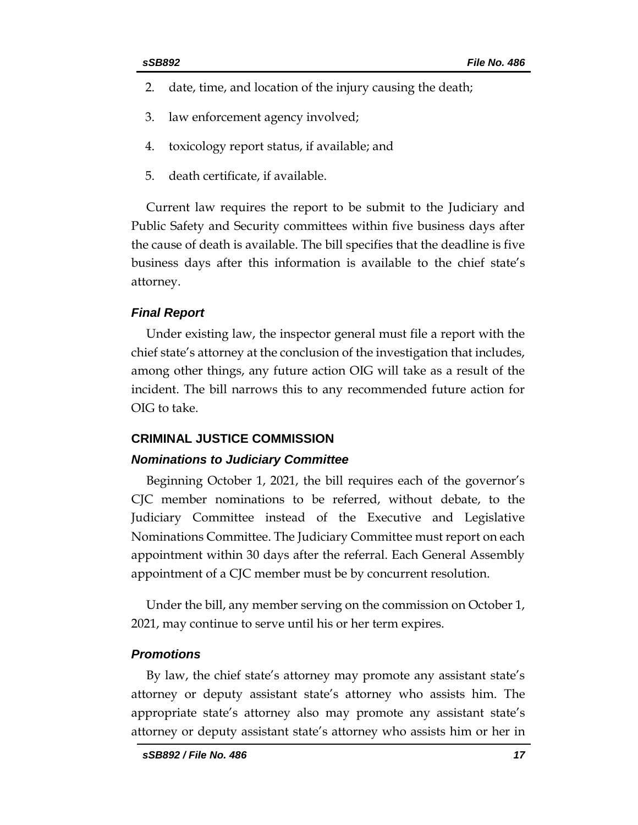- 2. date, time, and location of the injury causing the death;
- 3. law enforcement agency involved;
- 4. toxicology report status, if available; and
- 5. death certificate, if available.

Current law requires the report to be submit to the Judiciary and Public Safety and Security committees within five business days after the cause of death is available. The bill specifies that the deadline is five business days after this information is available to the chief state's attorney.

#### *Final Report*

Under existing law, the inspector general must file a report with the chief state's attorney at the conclusion of the investigation that includes, among other things, any future action OIG will take as a result of the incident. The bill narrows this to any recommended future action for OIG to take.

#### **CRIMINAL JUSTICE COMMISSION**

#### *Nominations to Judiciary Committee*

Beginning October 1, 2021, the bill requires each of the governor's CJC member nominations to be referred, without debate, to the Judiciary Committee instead of the Executive and Legislative Nominations Committee. The Judiciary Committee must report on each appointment within 30 days after the referral. Each General Assembly appointment of a CJC member must be by concurrent resolution.

Under the bill, any member serving on the commission on October 1, 2021, may continue to serve until his or her term expires.

#### *Promotions*

By law, the chief state's attorney may promote any assistant state's attorney or deputy assistant state's attorney who assists him. The appropriate state's attorney also may promote any assistant state's attorney or deputy assistant state's attorney who assists him or her in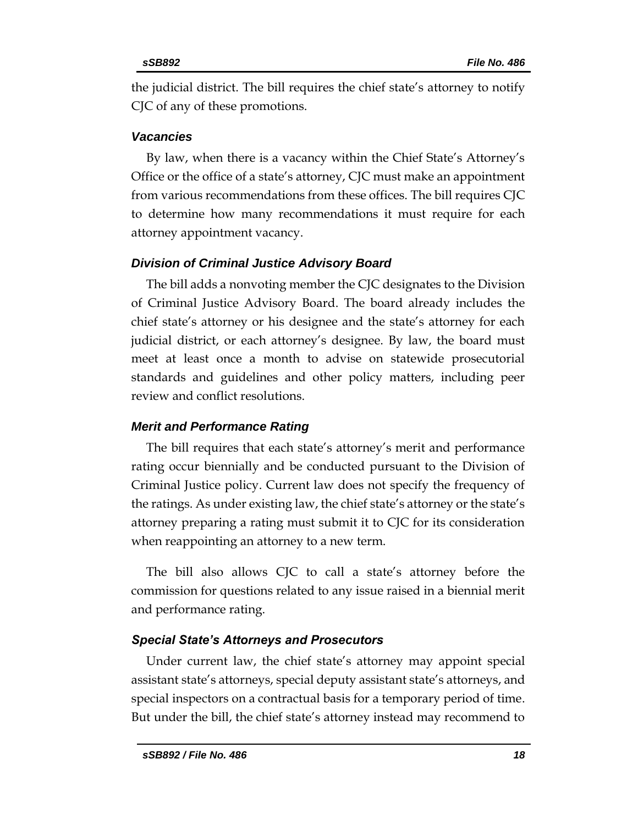the judicial district. The bill requires the chief state's attorney to notify CJC of any of these promotions.

#### *Vacancies*

By law, when there is a vacancy within the Chief State's Attorney's Office or the office of a state's attorney, CJC must make an appointment from various recommendations from these offices. The bill requires CJC to determine how many recommendations it must require for each attorney appointment vacancy.

#### *Division of Criminal Justice Advisory Board*

The bill adds a nonvoting member the CJC designates to the Division of Criminal Justice Advisory Board. The board already includes the chief state's attorney or his designee and the state's attorney for each judicial district, or each attorney's designee. By law, the board must meet at least once a month to advise on statewide prosecutorial standards and guidelines and other policy matters, including peer review and conflict resolutions.

#### *Merit and Performance Rating*

The bill requires that each state's attorney's merit and performance rating occur biennially and be conducted pursuant to the Division of Criminal Justice policy. Current law does not specify the frequency of the ratings. As under existing law, the chief state's attorney or the state's attorney preparing a rating must submit it to CJC for its consideration when reappointing an attorney to a new term.

The bill also allows CJC to call a state's attorney before the commission for questions related to any issue raised in a biennial merit and performance rating.

#### *Special State's Attorneys and Prosecutors*

Under current law, the chief state's attorney may appoint special assistant state's attorneys, special deputy assistant state's attorneys, and special inspectors on a contractual basis for a temporary period of time. But under the bill, the chief state's attorney instead may recommend to